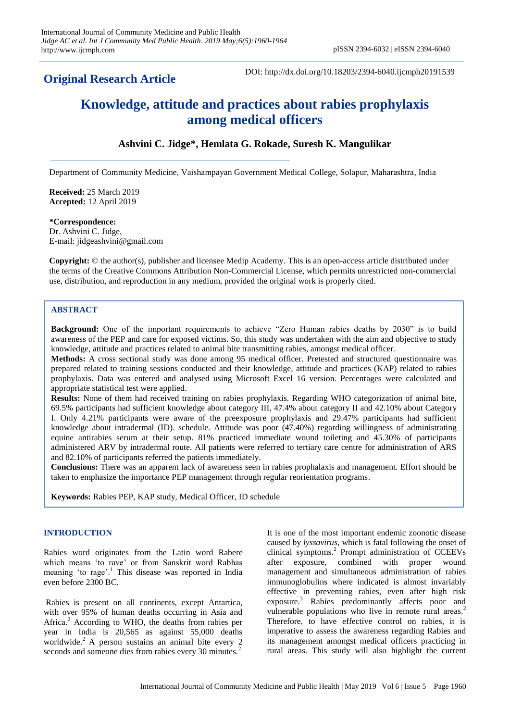# **Original Research Article**

DOI: http://dx.doi.org/10.18203/2394-6040.ijcmph20191539

# **Knowledge, attitude and practices about rabies prophylaxis among medical officers**

# **Ashvini C. Jidge\*, Hemlata G. Rokade, Suresh K. Mangulikar**

Department of Community Medicine, Vaishampayan Government Medical College, Solapur, Maharashtra, India

**Received:** 25 March 2019 **Accepted:** 12 April 2019

# **\*Correspondence:**

Dr. Ashvini C. Jidge, E-mail: jidgeashvini@gmail.com

**Copyright:** © the author(s), publisher and licensee Medip Academy. This is an open-access article distributed under the terms of the Creative Commons Attribution Non-Commercial License, which permits unrestricted non-commercial use, distribution, and reproduction in any medium, provided the original work is properly cited.

# **ABSTRACT**

**Background:** One of the important requirements to achieve "Zero Human rabies deaths by 2030" is to build awareness of the PEP and care for exposed victims. So, this study was undertaken with the aim and objective to study knowledge, attitude and practices related to animal bite transmitting rabies, amongst medical officer.

**Methods:** A cross sectional study was done among 95 medical officer. Pretested and structured questionnaire was prepared related to training sessions conducted and their knowledge, attitude and practices (KAP) related to rabies prophylaxis. Data was entered and analysed using Microsoft Excel 16 version. Percentages were calculated and appropriate statistical test were applied.

**Results:** None of them had received training on rabies prophylaxis. Regarding WHO categorization of animal bite, 69.5% participants had sufficient knowledge about category III, 47.4% about category II and 42.10% about Category I. Only 4.21% participants were aware of the preexposure prophylaxis and 29.47% participants had sufficient knowledge about intradermal (ID). schedule. Attitude was poor (47.40%) regarding willingness of administrating equine antirabies serum at their setup. 81% practiced immediate wound toileting and 45.30% of participants administered ARV by intradermal route. All patients were referred to tertiary care centre for administration of ARS and 82.10% of participants referred the patients immediately.

**Conclusions:** There was an apparent lack of awareness seen in rabies prophalaxis and management. Effort should be taken to emphasize the importance PEP management through regular reorientation programs.

**Keywords:** Rabies PEP, KAP study, Medical Officer, ID schedule

# **INTRODUCTION**

Rabies word originates from the Latin word Rabere which means "to rave" or from Sanskrit word Rabhas which means to rave or non-zero.<br>meaning 'to rage'.<sup>1</sup> This disease was reported in India even before 2300 BC.

Rabies is present on all continents, except Antartica, with over 95% of human deaths occurring in Asia and Africa.<sup>2</sup> According to WHO, the deaths from rabies per year in India is 20,565 as against 55,000 deaths worldwide. ${}^{2}$  A person sustains an animal bite every 2 seconds and someone dies from rabies every 30 minutes.<sup>2</sup>

It is one of the most important endemic zoonotic disease caused by *lyssavirus*, which is fatal following the onset of clinical symptoms.<sup>2</sup> Prompt administration of CCEEVs after exposure, combined with proper wound management and simultaneous administration of rabies immunoglobulins where indicated is almost invariably effective in preventing rabies, even after high risk exposure.<sup>3</sup> Rabies predominantly affects poor and vulnerable populations who live in remote rural areas.<sup>2</sup> Therefore, to have effective control on rabies, it is imperative to assess the awareness regarding Rabies and its management amongst medical officers practicing in rural areas. This study will also highlight the current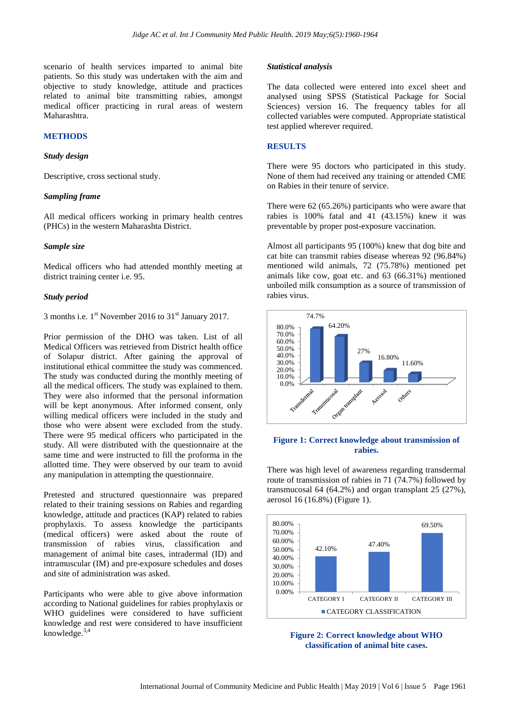scenario of health services imparted to animal bite patients. So this study was undertaken with the aim and objective to study knowledge, attitude and practices related to animal bite transmitting rabies, amongst medical officer practicing in rural areas of western Maharashtra.

# **METHODS**

#### *Study design*

Descriptive, cross sectional study.

## *Sampling frame*

All medical officers working in primary health centres (PHCs) in the western Maharashta District.

# *Sample size*

Medical officers who had attended monthly meeting at district training center i.e. 95.

# *Study period*

3 months i.e.  $1^{\text{st}}$  November 2016 to  $31^{\text{st}}$  January 2017.

Prior permission of the DHO was taken. List of all Medical Officers was retrieved from District health office of Solapur district. After gaining the approval of institutional ethical committee the study was commenced. The study was conducted during the monthly meeting of all the medical officers. The study was explained to them. They were also informed that the personal information will be kept anonymous. After informed consent, only willing medical officers were included in the study and those who were absent were excluded from the study. There were 95 medical officers who participated in the study. All were distributed with the questionnaire at the same time and were instructed to fill the proforma in the allotted time. They were observed by our team to avoid any manipulation in attempting the questionnaire.

Pretested and structured questionnaire was prepared related to their training sessions on Rabies and regarding knowledge, attitude and practices (KAP) related to rabies prophylaxis. To assess knowledge the participants (medical officers) were asked about the route of transmission of rabies virus, classification and management of animal bite cases, intradermal (ID) and intramuscular (IM) and pre-exposure schedules and doses and site of administration was asked.

Participants who were able to give above information according to National guidelines for rabies prophylaxis or WHO guidelines were considered to have sufficient knowledge and rest were considered to have insufficient knowledge.3,4

#### *Statistical analysis*

The data collected were entered into excel sheet and analysed using SPSS (Statistical Package for Social Sciences) version 16. The frequency tables for all collected variables were computed. Appropriate statistical test applied wherever required.

# **RESULTS**

There were 95 doctors who participated in this study. None of them had received any training or attended CME on Rabies in their tenure of service.

There were 62 (65.26%) participants who were aware that rabies is 100% fatal and 41 (43.15%) knew it was preventable by proper post-exposure vaccination.

Almost all participants 95 (100%) knew that dog bite and cat bite can transmit rabies disease whereas 92 (96.84%) mentioned wild animals, 72 (75.78%) mentioned pet animals like cow, goat etc. and 63 (66.31%) mentioned unboiled milk consumption as a source of transmission of rabies virus.



# **Figure 1: Correct knowledge about transmission of rabies.**

There was high level of awareness regarding transdermal route of transmission of rabies in 71 (74.7%) followed by transmucosal 64 (64.2%) and organ transplant 25 (27%), aerosol 16 (16.8%) (Figure 1).



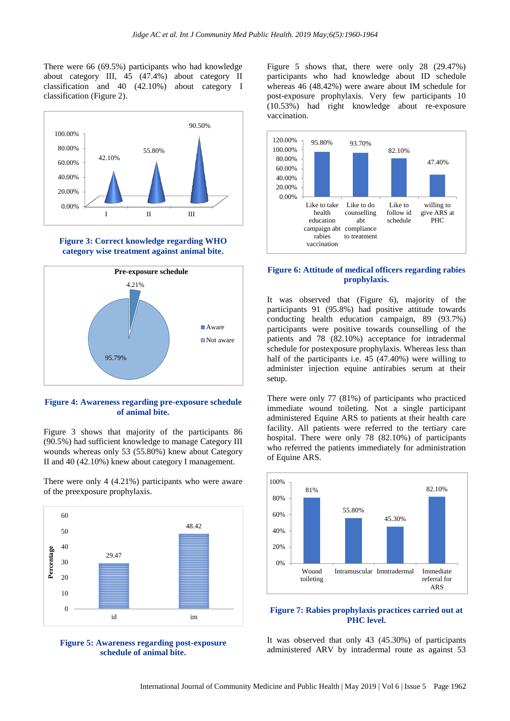There were 66 (69.5%) participants who had knowledge about category III, 45 (47.4%) about category II classification and 40 (42.10%) about category I classification (Figure 2).



#### **Figure 3: Correct knowledge regarding WHO category wise treatment against animal bite.**



**Figure 4: Awareness regarding pre-exposure schedule of animal bite.**

Figure 3 shows that majority of the participants 86 (90.5%) had sufficient knowledge to manage Category III wounds whereas only 53 (55.80%) knew about Category II and 40 (42.10%) knew about category I management.

There were only 4 (4.21%) participants who were aware of the preexposure prophylaxis.





Figure 5 shows that, there were only 28 (29.47%) participants who had knowledge about ID schedule whereas 46 (48.42%) were aware about IM schedule for post-exposure prophylaxis. Very few participants 10 (10.53%) had right knowledge about re-exposure vaccination.



# **Figure 6: Attitude of medical officers regarding rabies prophylaxis.**

It was observed that (Figure 6), majority of the participants 91 (95.8%) had positive attitude towards conducting health education campaign, 89 (93.7%) participants were positive towards counselling of the patients and 78 (82.10%) acceptance for intradermal schedule for postexposure prophylaxis. Whereas less than half of the participants i.e. 45 (47.40%) were willing to administer injection equine antirabies serum at their setup.

There were only 77 (81%) of participants who practiced immediate wound toileting. Not a single participant administered Equine ARS to patients at their health care facility. All patients were referred to the tertiary care hospital. There were only 78 (82.10%) of participants who referred the patients immediately for administration of Equine ARS.



# **Figure 7: Rabies prophylaxis practices carried out at PHC level.**

It was observed that only 43 (45.30%) of participants administered ARV by intradermal route as against 53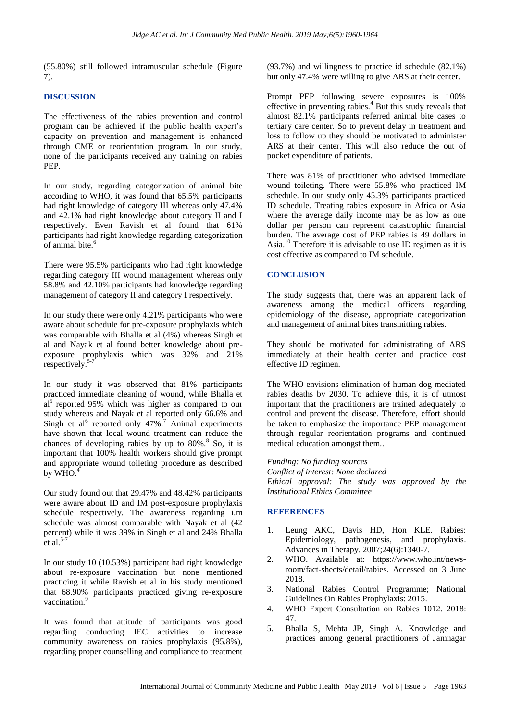(55.80%) still followed intramuscular schedule (Figure 7).

# **DISCUSSION**

The effectiveness of the rabies prevention and control program can be achieved if the public health expert"s capacity on prevention and management is enhanced through CME or reorientation program. In our study, none of the participants received any training on rabies PEP.

In our study, regarding categorization of animal bite according to WHO, it was found that 65.5% participants had right knowledge of category III whereas only 47.4% and 42.1% had right knowledge about category II and I respectively. Even Ravish et al found that 61% participants had right knowledge regarding categorization of animal bite.<sup>6</sup>

There were 95.5% participants who had right knowledge regarding category III wound management whereas only 58.8% and 42.10% participants had knowledge regarding management of category II and category I respectively.

In our study there were only 4.21% participants who were aware about schedule for pre-exposure prophylaxis which was comparable with Bhalla et al (4%) whereas Singh et al and Nayak et al found better knowledge about preexposure prophylaxis which was 32% and 21% respectively. $5-7$ 

In our study it was observed that 81% participants practiced immediate cleaning of wound, while Bhalla et  $a1<sup>5</sup>$  reported 95% which was higher as compared to our study whereas and Nayak et al reported only 66.6% and Singh et al<sup>6</sup> reported only  $47\%$ .<sup>7</sup> Animal experiments have shown that local wound treatment can reduce the chances of developing rabies by up to  $80\%$ .<sup>8</sup> So, it is important that 100% health workers should give prompt and appropriate wound toileting procedure as described by WHO. $4$ 

Our study found out that 29.47% and 48.42% participants were aware about ID and IM post-exposure prophylaxis schedule respectively. The awareness regarding i.m schedule was almost comparable with Nayak et al (42 percent) while it was 39% in Singh et al and 24% Bhalla et al. $5-7$ 

In our study 10 (10.53%) participant had right knowledge about re-exposure vaccination but none mentioned practicing it while Ravish et al in his study mentioned that 68.90% participants practiced giving re-exposure vaccination.

It was found that attitude of participants was good regarding conducting IEC activities to increase community awareness on rabies prophylaxis (95.8%), regarding proper counselling and compliance to treatment (93.7%) and willingness to practice id schedule (82.1%) but only 47.4% were willing to give ARS at their center.

Prompt PEP following severe exposures is 100% effective in preventing rabies.<sup>4</sup> But this study reveals that almost 82.1% participants referred animal bite cases to tertiary care center. So to prevent delay in treatment and loss to follow up they should be motivated to administer ARS at their center. This will also reduce the out of pocket expenditure of patients.

There was 81% of practitioner who advised immediate wound toileting. There were 55.8% who practiced IM schedule. In our study only 45.3% participants practiced ID schedule. Treating rabies exposure in Africa or Asia where the average daily income may be as low as one dollar per person can represent catastrophic financial burden. The average cost of PEP rabies is 49 dollars in Asia.<sup>10</sup> Therefore it is advisable to use ID regimen as it is cost effective as compared to IM schedule.

# **CONCLUSION**

The study suggests that, there was an apparent lack of awareness among the medical officers regarding epidemiology of the disease, appropriate categorization and management of animal bites transmitting rabies.

They should be motivated for administrating of ARS immediately at their health center and practice cost effective ID regimen.

The WHO envisions elimination of human dog mediated rabies deaths by 2030. To achieve this, it is of utmost important that the practitioners are trained adequately to control and prevent the disease. Therefore, effort should be taken to emphasize the importance PEP management through regular reorientation programs and continued medical education amongst them..

# *Funding: No funding sources*

*Conflict of interest: None declared Ethical approval: The study was approved by the Institutional Ethics Committee*

# **REFERENCES**

- 1. Leung AKC, Davis HD, Hon KLE. Rabies: Epidemiology, pathogenesis, and prophylaxis. Advances in Therapy. 2007;24(6):1340-7.
- 2. WHO. Available at: https://www.who.int/newsroom/fact-sheets/detail/rabies. Accessed on 3 June 2018.
- 3. National Rabies Control Programme; National Guidelines On Rabies Prophylaxis: 2015.
- 4. WHO Expert Consultation on Rabies 1012. 2018: 47.
- 5. Bhalla S, Mehta JP, Singh A. Knowledge and practices among general practitioners of Jamnagar